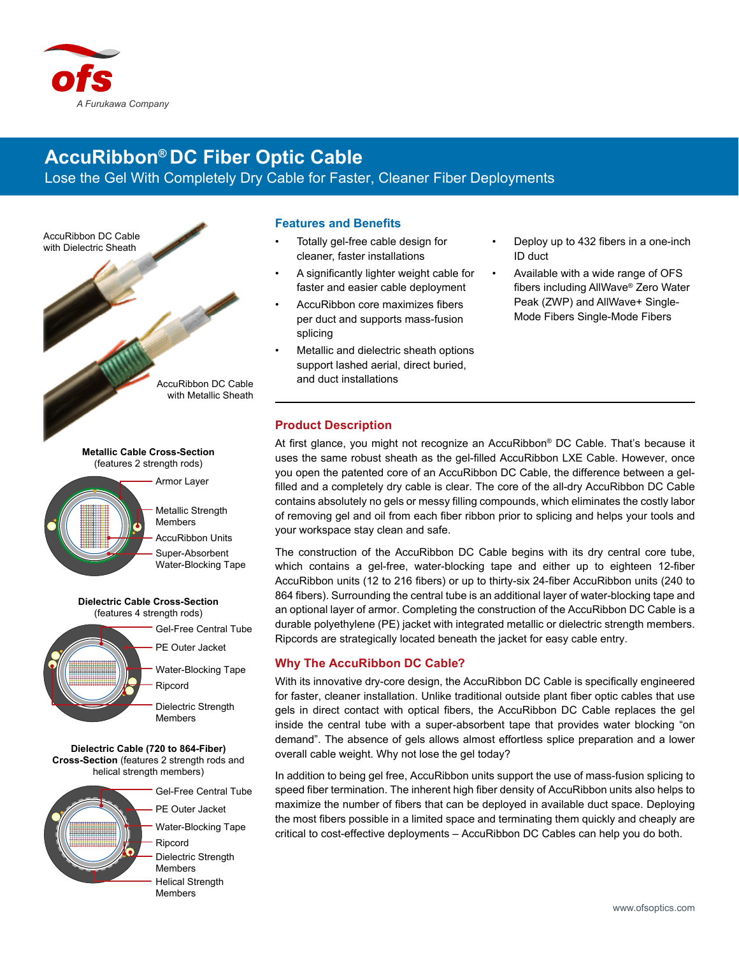

# **AccuRibbon® DC Fiber Optic Cable**

Lose the Gel With Completely Dry Cable for Faster, Cleaner Fiber Deployments



Ripcord Dielectric Strength

Members

**Dielectric Cable (720 to 864-Fiber) Cross-Section** (features 2 strength rods and helical strength members)



Gel-Free Central Tube PE Outer Jacket Water-Blocking Tape Ripcord Dielectric Strength Members Helical Strength Members

### **Features and Benefits**

- Totally gel-free cable design for cleaner, faster installations
- A significantly lighter weight cable for faster and easier cable deployment
- AccuRibbon core maximizes fibers per duct and supports mass-fusion splicing
- Metallic and dielectric sheath options support lashed aerial, direct buried, and duct installations
- Deploy up to 432 fibers in a one-inch ID duct
- Available with a wide range of OFS fibers including AllWave® Zero Water Peak (ZWP) and AllWave+ Single-Mode Fibers Single-Mode Fibers

## **Product Description**

At first glance, you might not recognize an AccuRibbon® DC Cable. That's because it uses the same robust sheath as the gel-filled AccuRibbon LXE Cable. However, once you open the patented core of an AccuRibbon DC Cable, the difference between a gelfilled and a completely dry cable is clear. The core of the all-dry AccuRibbon DC Cable contains absolutely no gels or messy filling compounds, which eliminates the costly labor of removing gel and oil from each fiber ribbon prior to splicing and helps your tools and your workspace stay clean and safe.

The construction of the AccuRibbon DC Cable begins with its dry central core tube, which contains a gel-free, water-blocking tape and either up to eighteen 12-fiber AccuRibbon units (12 to 216 fibers) or up to thirty-six 24-fiber AccuRibbon units (240 to 864 fibers). Surrounding the central tube is an additional layer of water-blocking tape and an optional layer of armor. Completing the construction of the AccuRibbon DC Cable is a durable polyethylene (PE) jacket with integrated metallic or dielectric strength members. Ripcords are strategically located beneath the jacket for easy cable entry.

## **Why The AccuRibbon DC Cable?**

With its innovative dry-core design, the AccuRibbon DC Cable is specifically engineered for faster, cleaner installation. Unlike traditional outside plant fiber optic cables that use gels in direct contact with optical fibers, the AccuRibbon DC Cable replaces the gel inside the central tube with a super-absorbent tape that provides water blocking "on demand". The absence of gels allows almost effortless splice preparation and a lower overall cable weight. Why not lose the gel today?

In addition to being gel free, AccuRibbon units support the use of mass-fusion splicing to speed fiber termination. The inherent high fiber density of AccuRibbon units also helps to maximize the number of fibers that can be deployed in available duct space. Deploying the most fibers possible in a limited space and terminating them quickly and cheaply are critical to cost-effective deployments – AccuRibbon DC Cables can help you do both.